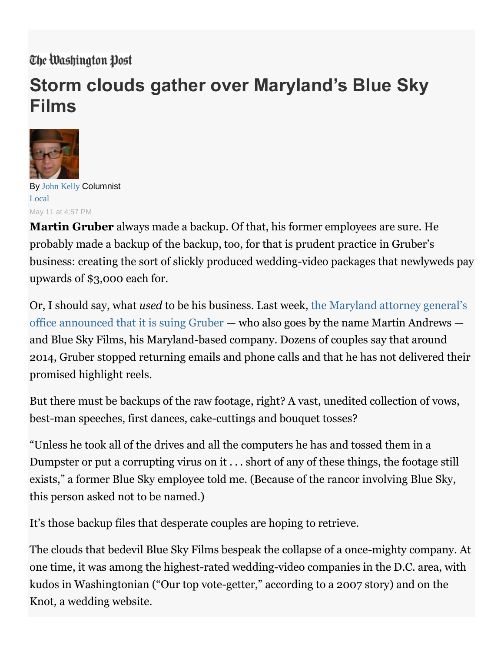## The Washington Post

## **Storm clouds gather over Maryland's Blue Sky Films**



By [John Kelly](http://www.washingtonpost.com/people/john-kelly) Columnist [Local](https://www.washingtonpost.com/local) May 11 at 4:57 PM

**Martin Gruber** always made a backup. Of that, his former employees are sure. He probably made a backup of the backup, too, for that is prudent practice in Gruber's business: creating the sort of slickly produced wedding-video packages that newlyweds pay upwards of \$3,000 each for.

Or, I should say, what *used* to be his business. Last week, [the Maryland attorney general's](https://www.oag.state.md.us/Press/2016/050516.htm)  [office announced that it is suing Gruber](https://www.oag.state.md.us/Press/2016/050516.htm) — who also goes by the name Martin Andrews and Blue Sky Films, his Maryland-based company. Dozens of couples say that around 2014, Gruber stopped returning emails and phone calls and that he has not delivered their promised highlight reels.

But there must be backups of the raw footage, right? A vast, unedited collection of vows, best-man speeches, first dances, cake-cuttings and bouquet tosses?

"Unless he took all of the drives and all the computers he has and tossed them in a Dumpster or put a corrupting virus on it . . . short of any of these things, the footage still exists," a former Blue Sky employee told me. (Because of the rancor involving Blue Sky, this person asked not to be named.)

It's those backup files that desperate couples are hoping to retrieve.

The clouds that bedevil Blue Sky Films bespeak the collapse of a once-mighty company. At one time, it was among the highest-rated wedding-video companies in the D.C. area, with kudos in Washingtonian ("Our top vote-getter," according to a 2007 story) and on the Knot, a wedding website.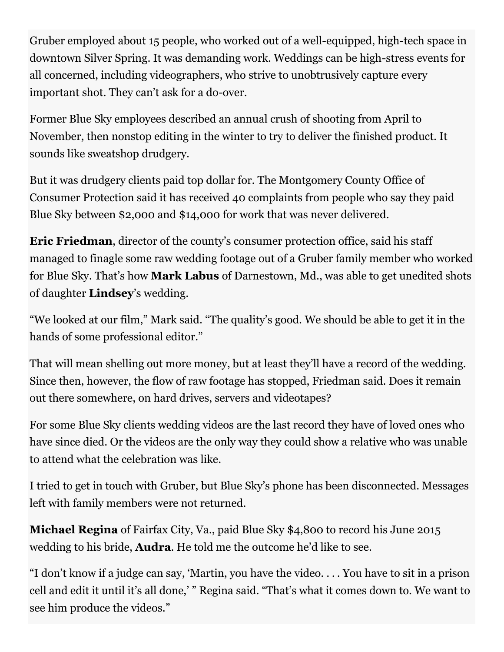Gruber employed about 15 people, who worked out of a well-equipped, high-tech space in downtown Silver Spring. It was demanding work. Weddings can be high-stress events for all concerned, including videographers, who strive to unobtrusively capture every important shot. They can't ask for a do-over.

Former Blue Sky employees described an annual crush of shooting from April to November, then nonstop editing in the winter to try to deliver the finished product. It sounds like sweatshop drudgery.

But it was drudgery clients paid top dollar for. The Montgomery County Office of Consumer Protection said it has received 40 complaints from people who say they paid Blue Sky between \$2,000 and \$14,000 for work that was never delivered.

**Eric Friedman**, director of the county's consumer protection office, said his staff managed to finagle some raw wedding footage out of a Gruber family member who worked for Blue Sky. That's how **Mark Labus** of Darnestown, Md., was able to get unedited shots of daughter **Lindsey**'s wedding.

"We looked at our film," Mark said. "The quality's good. We should be able to get it in the hands of some professional editor."

That will mean shelling out more money, but at least they'll have a record of the wedding. Since then, however, the flow of raw footage has stopped, Friedman said. Does it remain out there somewhere, on hard drives, servers and videotapes?

For some Blue Sky clients wedding videos are the last record they have of loved ones who have since died. Or the videos are the only way they could show a relative who was unable to attend what the celebration was like.

I tried to get in touch with Gruber, but Blue Sky's phone has been disconnected. Messages left with family members were not returned.

**Michael Regina** of Fairfax City, Va., paid Blue Sky \$4,800 to record his June 2015 wedding to his bride, **Audra**. He told me the outcome he'd like to see.

"I don't know if a judge can say, 'Martin, you have the video. . . . You have to sit in a prison cell and edit it until it's all done,' " Regina said. "That's what it comes down to. We want to see him produce the videos."